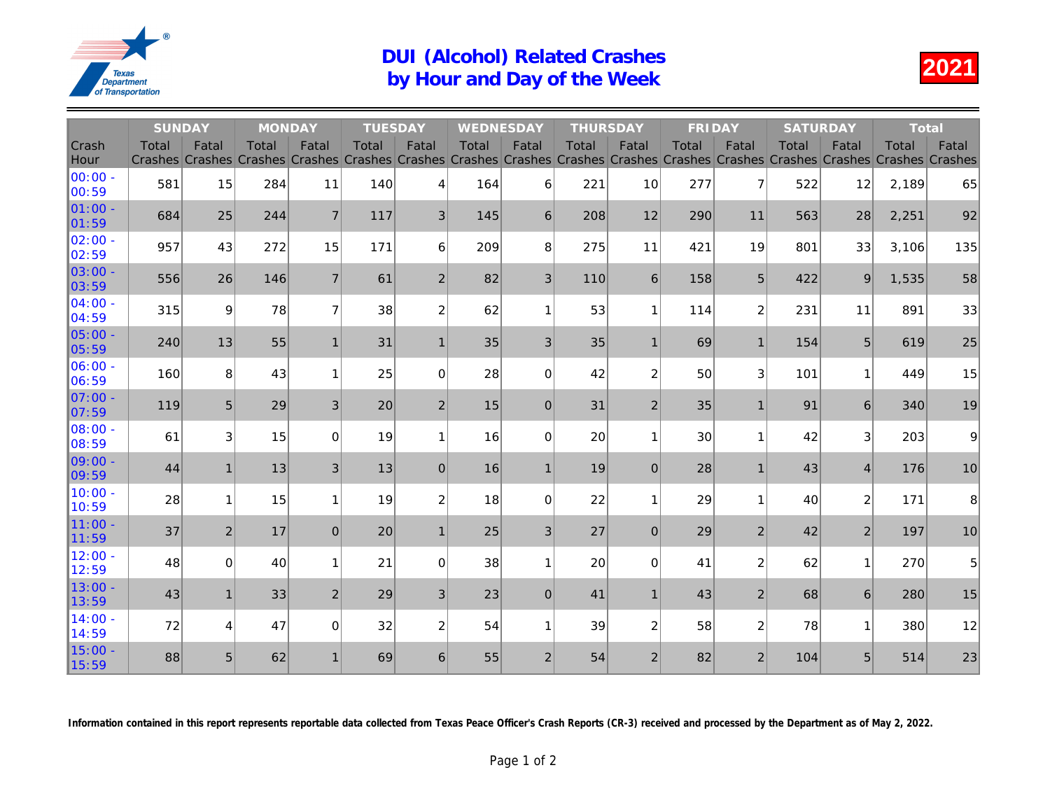## DUI (Alcohol) Related Crashes<br>by Hour and Day of the Week

|                          | <b>SUNDAY</b>                  |                         | <b>MONDAY</b>                  |                  | <b>TUESDAY</b>          |                         | WEDNESDAY                       |                | <b>THURSDAY</b>         |                         | <b>FRIDAY</b>                  |                  | <b>SATL</b>             |
|--------------------------|--------------------------------|-------------------------|--------------------------------|------------------|-------------------------|-------------------------|---------------------------------|----------------|-------------------------|-------------------------|--------------------------------|------------------|-------------------------|
| Crash<br>Hour            | <b>Total</b><br><b>Crashes</b> | Fatal<br><b>Crashes</b> | <b>Total</b><br><b>Crashes</b> | Fatal<br>Crashes | <b>Total</b><br>Crashes | Fatal<br><b>Crashes</b> | <b>Total</b><br>Crashes Crashes | Fatal          | Total<br><b>Crashes</b> | Fatal<br><b>Crashes</b> | <b>Total</b><br><b>Crashes</b> | Fatal<br>Crashes | <b>Total</b><br>Crashes |
| 100:00 -<br>00:59        | 581                            | 15                      | 284                            | 11               | 140                     | 4                       | 164                             | 6              | 221                     | 10                      | 277                            | $\overline{7}$   | 522                     |
| $ 01:00 -$<br> 01:59     | 684                            | 25                      | 244                            | $\overline{7}$   | 117                     | 3                       | 145                             | 6              | 208                     | 12                      | 290                            | 11               | 563                     |
| $ 02:00 -$<br>02:59      | 957                            | 43                      | 272                            | 15               | 171                     | 6                       | 209                             | 8              | 275                     | 11                      | 421                            | 19               | 801                     |
| $ 03:00 -$<br> 03:59     | 556                            | 26                      | 146                            | $\overline{7}$   | 61                      | $\overline{2}$          | 82                              | 3              | 110                     | $6\phantom{1}$          | 158                            | 5                | 422                     |
| $ 04:00 -$<br>04:59      | 315                            | 9                       | 78                             | $\overline{7}$   | 38                      | $\overline{2}$          | 62                              | $\mathbf{1}$   | 53                      | 1                       | 114                            | $\overline{2}$   | 23 <sup>1</sup>         |
| $ 05:00 -$<br>05:59      | 240                            | 13                      | 55                             | $\mathbf{1}$     | 31                      | 1                       | 35                              | 3              | 35                      | $\overline{1}$          | 69                             | $\mathbf{1}$     | 154                     |
| $ 06:00 -$<br>06:59      | 160                            | 8                       | 43                             | $\mathbf{1}$     | 25                      | $\Omega$                | 28                              | $\Omega$       | 42                      | $\overline{c}$          | 50                             | 3                | 10 <sup>1</sup>         |
| $IO7:00 -$<br> 07:59     | 119                            | 5                       | 29                             | 3                | 20                      | $\overline{2}$          | 15                              | $\mathbf 0$    | 31                      | $\overline{2}$          | 35                             | $\mathbf{1}$     | 9 <sup>1</sup>          |
| <b>108:00 -</b><br>08:59 | 61                             | 3                       | 15                             | $\Omega$         | 19                      | 1                       | 16                              | $\mathbf 0$    | 20                      | 1                       | 30                             | 1                | 4                       |
| $ 09:00 -$<br> 09:59     | 44                             | $\mathbf{1}$            | 13                             | 3                | 13                      | $\Omega$                | 16                              | $\mathbf{1}$   | 19                      | $\overline{0}$          | 28                             | $\mathbf{1}$     | 4 <sup>1</sup>          |
| 10:00 -<br>10:59         | 28                             | $\mathbf{1}$            | 15                             | $\mathbf{1}$     | 19                      | $\overline{2}$          | 18                              | $\mathbf 0$    | 22                      | 1                       | 29                             | $\mathbf{1}$     | 4(                      |
| $11:00 -$<br>11:59       | 37                             | $\overline{2}$          | 17                             | $\overline{0}$   | 20                      | $\mathbf{1}$            | 25                              | 3              | 27                      | $\overline{0}$          | 29                             | $\overline{2}$   | 4 <sup>1</sup>          |
| $12:00 -$<br>12:59       | 48                             | $\Omega$                | 40                             | $\mathbf{1}$     | 21                      | $\Omega$                | 38                              | $\mathbf{1}$   | 20                      | 0                       | 41                             | $\overline{c}$   | 61                      |
| $13:00 -$<br>13:59       | 43                             | $\mathbf{1}$            | 33                             | $\overline{2}$   | 29                      | 3                       | 23                              | $\overline{0}$ | 41                      | 1                       | 43                             | $\overline{2}$   | 6 <sup>i</sup>          |
| $14:00 -$<br>14:59       | 72                             | 4                       | 47                             | 0                | 32                      | $\overline{2}$          | 54                              | $\mathbf{1}$   | 39                      | $\overline{c}$          | 58                             | $\overline{2}$   | 7 <sup>1</sup>          |
| 15:00 -<br>15:59         | 88                             | 5                       | 62                             | $\mathbf{1}$     | 69                      | 6                       | 55                              | $\overline{2}$ | 54                      | $\overline{2}$          | 82                             | $\overline{2}$   | 10 <sub>4</sub>         |

Information contained in this report represents reportable data collected from Texas Peace Officer's Crash Reports (CR-3) received and processed by the Dep